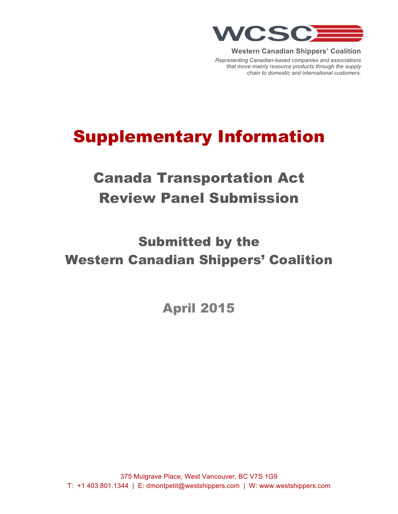

**Western Canadian Shippers' Coalition**

*Representing Canadian-based companies and associations that move mainly resource products through the supply chain to domestic and international customers.*

# Supplementary Information

# Canada Transportation Act Review Panel Submission

# Submitted by the Western Canadian Shippers' Coalition

April 2015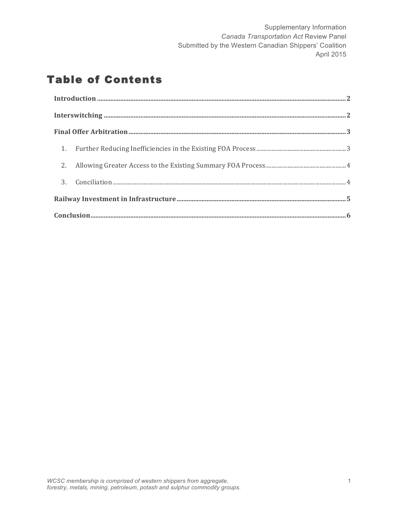# Table of Contents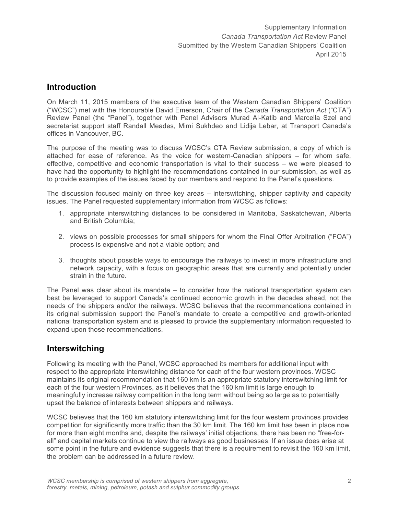### **Introduction**

On March 11, 2015 members of the executive team of the Western Canadian Shippers' Coalition ("WCSC") met with the Honourable David Emerson, Chair of the *Canada Transportation Act* ("CTA") Review Panel (the "Panel"), together with Panel Advisors Murad Al-Katib and Marcella Szel and secretariat support staff Randall Meades, Mimi Sukhdeo and Lidija Lebar, at Transport Canada's offices in Vancouver, BC.

The purpose of the meeting was to discuss WCSC's CTA Review submission, a copy of which is attached for ease of reference. As the voice for western-Canadian shippers – for whom safe, effective, competitive and economic transportation is vital to their success – we were pleased to have had the opportunity to highlight the recommendations contained in our submission, as well as to provide examples of the issues faced by our members and respond to the Panel's questions.

The discussion focused mainly on three key areas – interswitching, shipper captivity and capacity issues. The Panel requested supplementary information from WCSC as follows:

- 1. appropriate interswitching distances to be considered in Manitoba, Saskatchewan, Alberta and British Columbia;
- 2. views on possible processes for small shippers for whom the Final Offer Arbitration ("FOA") process is expensive and not a viable option; and
- 3. thoughts about possible ways to encourage the railways to invest in more infrastructure and network capacity, with a focus on geographic areas that are currently and potentially under strain in the future.

The Panel was clear about its mandate – to consider how the national transportation system can best be leveraged to support Canada's continued economic growth in the decades ahead, not the needs of the shippers and/or the railways. WCSC believes that the recommendations contained in its original submission support the Panel's mandate to create a competitive and growth-oriented national transportation system and is pleased to provide the supplementary information requested to expand upon those recommendations.

#### **Interswitching**

Following its meeting with the Panel, WCSC approached its members for additional input with respect to the appropriate interswitching distance for each of the four western provinces. WCSC maintains its original recommendation that 160 km is an appropriate statutory interswitching limit for each of the four western Provinces, as it believes that the 160 km limit is large enough to meaningfully increase railway competition in the long term without being so large as to potentially upset the balance of interests between shippers and railways.

WCSC believes that the 160 km statutory interswitching limit for the four western provinces provides competition for significantly more traffic than the 30 km limit. The 160 km limit has been in place now for more than eight months and, despite the railways' initial objections, there has been no "free-forall" and capital markets continue to view the railways as good businesses. If an issue does arise at some point in the future and evidence suggests that there is a requirement to revisit the 160 km limit, the problem can be addressed in a future review.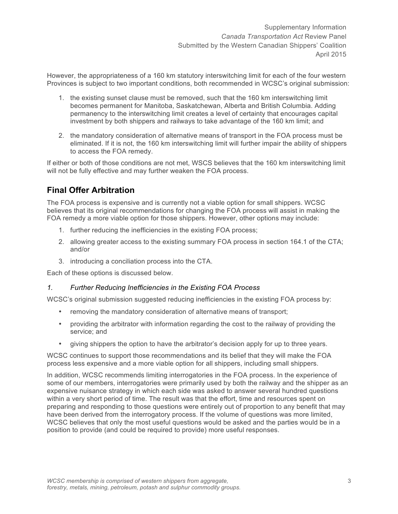However, the appropriateness of a 160 km statutory interswitching limit for each of the four western Provinces is subject to two important conditions, both recommended in WCSC's original submission:

- 1. the existing sunset clause must be removed, such that the 160 km interswitching limit becomes permanent for Manitoba, Saskatchewan, Alberta and British Columbia. Adding permanency to the interswitching limit creates a level of certainty that encourages capital investment by both shippers and railways to take advantage of the 160 km limit; and
- 2. the mandatory consideration of alternative means of transport in the FOA process must be eliminated. If it is not, the 160 km interswitching limit will further impair the ability of shippers to access the FOA remedy.

If either or both of those conditions are not met, WSCS believes that the 160 km interswitching limit will not be fully effective and may further weaken the FOA process.

### **Final Offer Arbitration**

The FOA process is expensive and is currently not a viable option for small shippers. WCSC believes that its original recommendations for changing the FOA process will assist in making the FOA remedy a more viable option for those shippers. However, other options may include:

- 1. further reducing the inefficiencies in the existing FOA process;
- 2. allowing greater access to the existing summary FOA process in section 164.1 of the CTA; and/or
- 3. introducing a conciliation process into the CTA.

Each of these options is discussed below.

#### *1. Further Reducing Inefficiencies in the Existing FOA Process*

WCSC's original submission suggested reducing inefficiencies in the existing FOA process by:

- removing the mandatory consideration of alternative means of transport;
- providing the arbitrator with information regarding the cost to the railway of providing the service; and
- giving shippers the option to have the arbitrator's decision apply for up to three years.

WCSC continues to support those recommendations and its belief that they will make the FOA process less expensive and a more viable option for all shippers, including small shippers.

In addition, WCSC recommends limiting interrogatories in the FOA process. In the experience of some of our members, interrogatories were primarily used by both the railway and the shipper as an expensive nuisance strategy in which each side was asked to answer several hundred questions within a very short period of time. The result was that the effort, time and resources spent on preparing and responding to those questions were entirely out of proportion to any benefit that may have been derived from the interrogatory process. If the volume of questions was more limited, WCSC believes that only the most useful questions would be asked and the parties would be in a position to provide (and could be required to provide) more useful responses.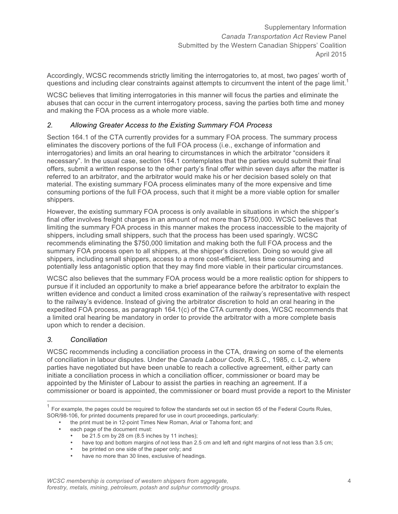Accordingly, WCSC recommends strictly limiting the interrogatories to, at most, two pages' worth of questions and including clear constraints against attempts to circumvent the intent of the page limit.<sup>1</sup>

WCSC believes that limiting interrogatories in this manner will focus the parties and eliminate the abuses that can occur in the current interrogatory process, saving the parties both time and money and making the FOA process as a whole more viable.

#### *2. Allowing Greater Access to the Existing Summary FOA Process*

Section 164.1 of the CTA currently provides for a summary FOA process. The summary process eliminates the discovery portions of the full FOA process (i.e., exchange of information and interrogatories) and limits an oral hearing to circumstances in which the arbitrator "considers it necessary". In the usual case, section 164.1 contemplates that the parties would submit their final offers, submit a written response to the other party's final offer within seven days after the matter is referred to an arbitrator, and the arbitrator would make his or her decision based solely on that material. The existing summary FOA process eliminates many of the more expensive and time consuming portions of the full FOA process, such that it might be a more viable option for smaller shippers.

However, the existing summary FOA process is only available in situations in which the shipper's final offer involves freight charges in an amount of not more than \$750,000. WCSC believes that limiting the summary FOA process in this manner makes the process inaccessible to the majority of shippers, including small shippers, such that the process has been used sparingly. WCSC recommends eliminating the \$750,000 limitation and making both the full FOA process and the summary FOA process open to all shippers, at the shipper's discretion. Doing so would give all shippers, including small shippers, access to a more cost-efficient, less time consuming and potentially less antagonistic option that they may find more viable in their particular circumstances.

WCSC also believes that the summary FOA process would be a more realistic option for shippers to pursue if it included an opportunity to make a brief appearance before the arbitrator to explain the written evidence and conduct a limited cross examination of the railway's representative with respect to the railway's evidence. Instead of giving the arbitrator discretion to hold an oral hearing in the expedited FOA process, as paragraph 164.1(c) of the CTA currently does, WCSC recommends that a limited oral hearing be mandatory in order to provide the arbitrator with a more complete basis upon which to render a decision.

#### *3. Conciliation*

WCSC recommends including a conciliation process in the CTA, drawing on some of the elements of conciliation in labour disputes. Under the *Canada Labour Code*, R.S.C., 1985, c. L-2, where parties have negotiated but have been unable to reach a collective agreement, either party can initiate a conciliation process in which a conciliation officer, commissioner or board may be appointed by the Minister of Labour to assist the parties in reaching an agreement. If a commissioner or board is appointed, the commissioner or board must provide a report to the Minister

- the print must be in 12-point Times New Roman, Arial or Tahoma font; and
- each page of the document must:
	- be 21.5 cm by 28 cm (8.5 inches by 11 inches);
	- have top and bottom margins of not less than 2.5 cm and left and right margins of not less than 3.5 cm;
	- be printed on one side of the paper only; and
	- have no more than 30 lines, exclusive of headings.

 $1$  For example, the pages could be required to follow the standards set out in section 65 of the Federal Courts Rules, SOR/98-106, for printed documents prepared for use in court proceedings, particularly: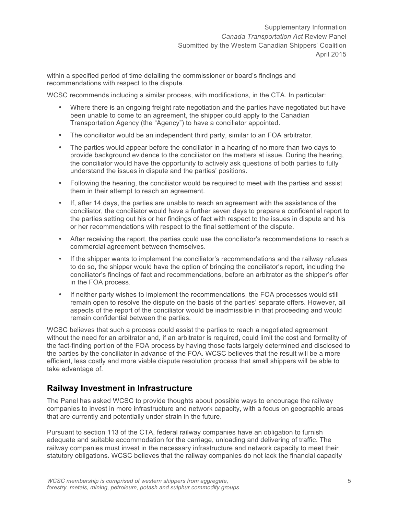within a specified period of time detailing the commissioner or board's findings and recommendations with respect to the dispute.

WCSC recommends including a similar process, with modifications, in the CTA. In particular:

- Where there is an ongoing freight rate negotiation and the parties have negotiated but have been unable to come to an agreement, the shipper could apply to the Canadian Transportation Agency (the "Agency") to have a conciliator appointed.
- The conciliator would be an independent third party, similar to an FOA arbitrator.
- The parties would appear before the conciliator in a hearing of no more than two days to provide background evidence to the conciliator on the matters at issue. During the hearing, the conciliator would have the opportunity to actively ask questions of both parties to fully understand the issues in dispute and the parties' positions.
- Following the hearing, the conciliator would be required to meet with the parties and assist them in their attempt to reach an agreement.
- If, after 14 days, the parties are unable to reach an agreement with the assistance of the conciliator, the conciliator would have a further seven days to prepare a confidential report to the parties setting out his or her findings of fact with respect to the issues in dispute and his or her recommendations with respect to the final settlement of the dispute.
- After receiving the report, the parties could use the conciliator's recommendations to reach a commercial agreement between themselves.
- If the shipper wants to implement the conciliator's recommendations and the railway refuses to do so, the shipper would have the option of bringing the conciliator's report, including the conciliator's findings of fact and recommendations, before an arbitrator as the shipper's offer in the FOA process.
- If neither party wishes to implement the recommendations, the FOA processes would still remain open to resolve the dispute on the basis of the parties' separate offers. However, all aspects of the report of the conciliator would be inadmissible in that proceeding and would remain confidential between the parties.

WCSC believes that such a process could assist the parties to reach a negotiated agreement without the need for an arbitrator and, if an arbitrator is required, could limit the cost and formality of the fact-finding portion of the FOA process by having those facts largely determined and disclosed to the parties by the conciliator in advance of the FOA. WCSC believes that the result will be a more efficient, less costly and more viable dispute resolution process that small shippers will be able to take advantage of.

## **Railway Investment in Infrastructure**

The Panel has asked WCSC to provide thoughts about possible ways to encourage the railway companies to invest in more infrastructure and network capacity, with a focus on geographic areas that are currently and potentially under strain in the future.

Pursuant to section 113 of the CTA, federal railway companies have an obligation to furnish adequate and suitable accommodation for the carriage, unloading and delivering of traffic. The railway companies must invest in the necessary infrastructure and network capacity to meet their statutory obligations. WCSC believes that the railway companies do not lack the financial capacity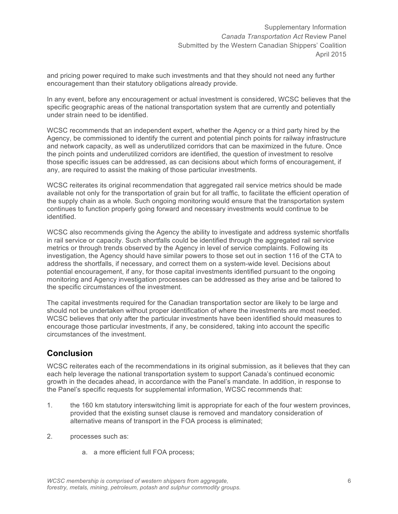and pricing power required to make such investments and that they should not need any further encouragement than their statutory obligations already provide.

In any event, before any encouragement or actual investment is considered, WCSC believes that the specific geographic areas of the national transportation system that are currently and potentially under strain need to be identified.

WCSC recommends that an independent expert, whether the Agency or a third party hired by the Agency, be commissioned to identify the current and potential pinch points for railway infrastructure and network capacity, as well as underutilized corridors that can be maximized in the future. Once the pinch points and underutilized corridors are identified, the question of investment to resolve those specific issues can be addressed, as can decisions about which forms of encouragement, if any, are required to assist the making of those particular investments.

WCSC reiterates its original recommendation that aggregated rail service metrics should be made available not only for the transportation of grain but for all traffic, to facilitate the efficient operation of the supply chain as a whole. Such ongoing monitoring would ensure that the transportation system continues to function properly going forward and necessary investments would continue to be identified.

WCSC also recommends giving the Agency the ability to investigate and address systemic shortfalls in rail service or capacity. Such shortfalls could be identified through the aggregated rail service metrics or through trends observed by the Agency in level of service complaints. Following its investigation, the Agency should have similar powers to those set out in section 116 of the CTA to address the shortfalls, if necessary, and correct them on a system-wide level. Decisions about potential encouragement, if any, for those capital investments identified pursuant to the ongoing monitoring and Agency investigation processes can be addressed as they arise and be tailored to the specific circumstances of the investment.

The capital investments required for the Canadian transportation sector are likely to be large and should not be undertaken without proper identification of where the investments are most needed. WCSC believes that only after the particular investments have been identified should measures to encourage those particular investments, if any, be considered, taking into account the specific circumstances of the investment.

## **Conclusion**

WCSC reiterates each of the recommendations in its original submission, as it believes that they can each help leverage the national transportation system to support Canada's continued economic growth in the decades ahead, in accordance with the Panel's mandate. In addition, in response to the Panel's specific requests for supplemental information, WCSC recommends that:

- 1. the 160 km statutory interswitching limit is appropriate for each of the four western provinces, provided that the existing sunset clause is removed and mandatory consideration of alternative means of transport in the FOA process is eliminated;
- 2. processes such as:
	- a. a more efficient full FOA process;